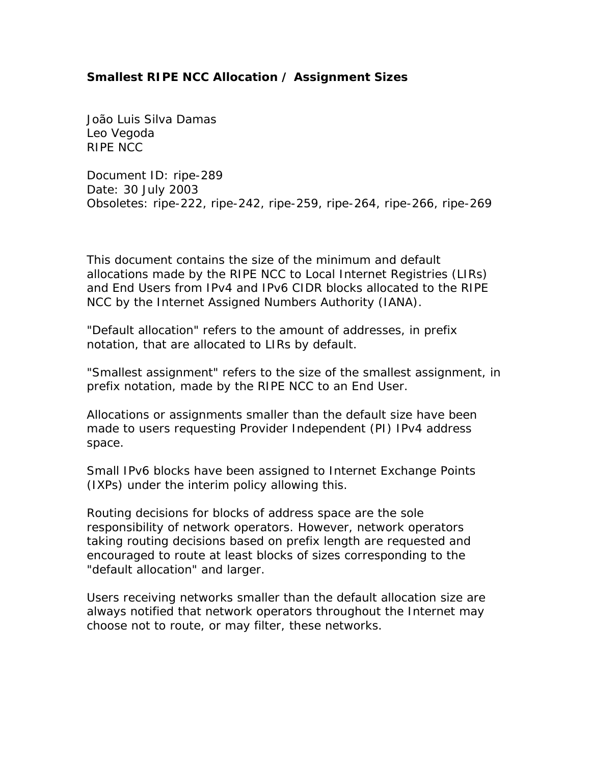## **Smallest RIPE NCC Allocation / Assignment Sizes**

*João Luis Silva Damas Leo Vegoda RIPE NCC*

Document ID: ripe-289 Date: 30 July 2003 Obsoletes: ripe-222, ripe-242, ripe-259, ripe-264, ripe-266, ripe-269

This document contains the size of the minimum and default allocations made by the RIPE NCC to Local Internet Registries (LIRs) and End Users from IPv4 and IPv6 CIDR blocks allocated to the RIPE NCC by the Internet Assigned Numbers Authority (IANA).

"Default allocation" refers to the amount of addresses, in prefix notation, that are allocated to LIRs by default.

"Smallest assignment" refers to the size of the smallest assignment, in prefix notation, made by the RIPE NCC to an End User.

Allocations or assignments smaller than the default size have been made to users requesting Provider Independent (PI) IPv4 address space.

Small IPv6 blocks have been assigned to Internet Exchange Points (IXPs) under the interim policy allowing this.

Routing decisions for blocks of address space are the sole responsibility of network operators. However, network operators taking routing decisions based on prefix length are requested and encouraged to route at least blocks of sizes corresponding to the "default allocation" and larger.

Users receiving networks smaller than the default allocation size are always notified that network operators throughout the Internet may choose not to route, or may filter, these networks.